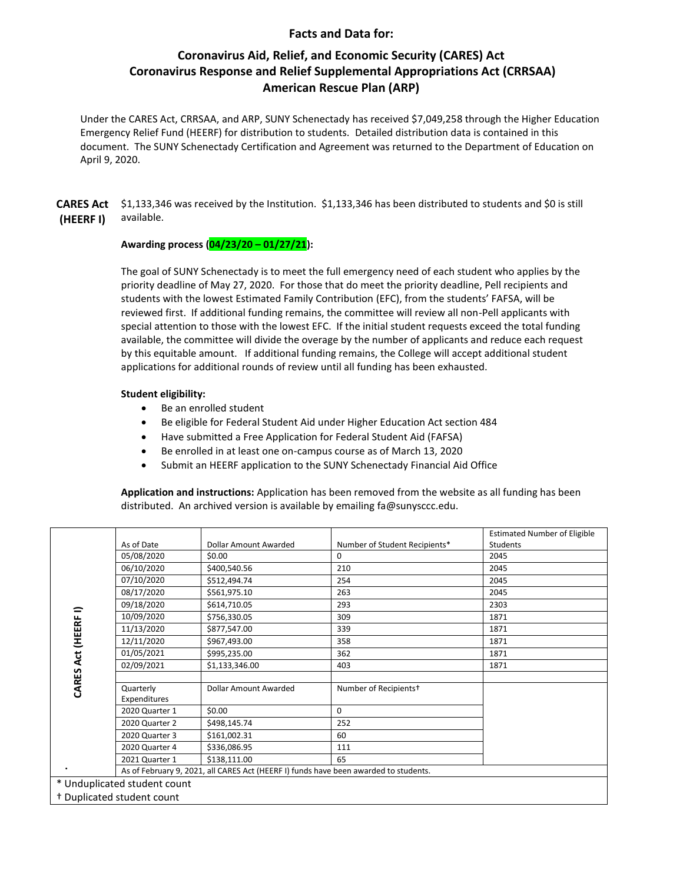## **Facts and Data for:**

# **Coronavirus Aid, Relief, and Economic Security (CARES) Act Coronavirus Response and Relief Supplemental Appropriations Act (CRRSAA) American Rescue Plan (ARP)**

 Emergency Relief Fund (HEERF) for distribution to students. Detailed distribution data is contained in this document. The SUNY Schenectady Certification and Agreement was returned to the Department of Education on Under the CARES Act, CRRSAA, and ARP, SUNY Schenectady has received \$7,049,258 through the Higher Education April 9, 2020.

**CARES Act** \$1,133,346 was received by the Institution. \$1,133,346 has been distributed to students and \$0 is still **(HEERF I)** available.

### **Awarding process (04/23/20 – 01/27/21):**

 reviewed first. If additional funding remains, the committee will review all non-Pell applicants with by this equitable amount. If additional funding remains, the College will accept additional student The goal of SUNY Schenectady is to meet the full emergency need of each student who applies by the priority deadline of May 27, 2020. For those that do meet the priority deadline, Pell recipients and students with the lowest Estimated Family Contribution (EFC), from the students' FAFSA, will be special attention to those with the lowest EFC. If the initial student requests exceed the total funding available, the committee will divide the overage by the number of applicants and reduce each request applications for additional rounds of review until all funding has been exhausted.

### **Student eligibility:**

- Be an enrolled student
- Be eligible for Federal Student Aid under Higher Education Act section 484
- Have submitted a Free Application for Federal Student Aid (FAFSA)
- Be enrolled in at least one on-campus course as of March 13, 2020
- Submit an HEERF application to the SUNY Schenectady Financial Aid Office

**Application and instructions:** Application has been removed from the website as all funding has been distributed. An archived version is available by emailing [fa@sunysccc.edu.](mailto:fa@sunysccc.edu)

| CARES Act (HEERF I)                   |                                                                                      |                       |                                   | <b>Estimated Number of Eligible</b> |  |  |
|---------------------------------------|--------------------------------------------------------------------------------------|-----------------------|-----------------------------------|-------------------------------------|--|--|
|                                       | As of Date                                                                           | Dollar Amount Awarded | Number of Student Recipients*     | Students                            |  |  |
|                                       | 05/08/2020                                                                           | \$0.00                | 0                                 | 2045                                |  |  |
|                                       | 06/10/2020                                                                           | \$400,540.56          | 210                               | 2045                                |  |  |
|                                       | 07/10/2020                                                                           | \$512,494.74          | 254                               | 2045                                |  |  |
|                                       | 08/17/2020                                                                           | \$561,975.10          | 263                               | 2045                                |  |  |
|                                       | 09/18/2020                                                                           | \$614,710.05          | 293                               | 2303                                |  |  |
|                                       | 10/09/2020                                                                           | \$756,330.05          | 309                               | 1871                                |  |  |
|                                       | 11/13/2020                                                                           | \$877,547.00          | 339                               | 1871                                |  |  |
|                                       | 12/11/2020                                                                           | \$967,493.00          | 358                               | 1871                                |  |  |
|                                       | 01/05/2021                                                                           | \$995,235.00          | 362                               | 1871                                |  |  |
|                                       | 02/09/2021                                                                           | \$1,133,346.00        | 403                               | 1871                                |  |  |
|                                       |                                                                                      |                       |                                   |                                     |  |  |
|                                       | Quarterly                                                                            | Dollar Amount Awarded | Number of Recipients <sup>+</sup> |                                     |  |  |
|                                       | Expenditures                                                                         |                       |                                   |                                     |  |  |
|                                       | 2020 Quarter 1                                                                       | \$0.00                | $\Omega$                          |                                     |  |  |
|                                       | 2020 Quarter 2                                                                       | \$498,145.74          | 252                               |                                     |  |  |
|                                       | 2020 Quarter 3                                                                       | \$161,002.31          | 60                                |                                     |  |  |
|                                       | 2020 Quarter 4                                                                       | \$336,086.95          | 111                               |                                     |  |  |
|                                       | 2021 Quarter 1                                                                       | \$138,111.00          | 65                                |                                     |  |  |
| ٠                                     | As of February 9, 2021, all CARES Act (HEERF I) funds have been awarded to students. |                       |                                   |                                     |  |  |
| * Unduplicated student count          |                                                                                      |                       |                                   |                                     |  |  |
| <sup>†</sup> Duplicated student count |                                                                                      |                       |                                   |                                     |  |  |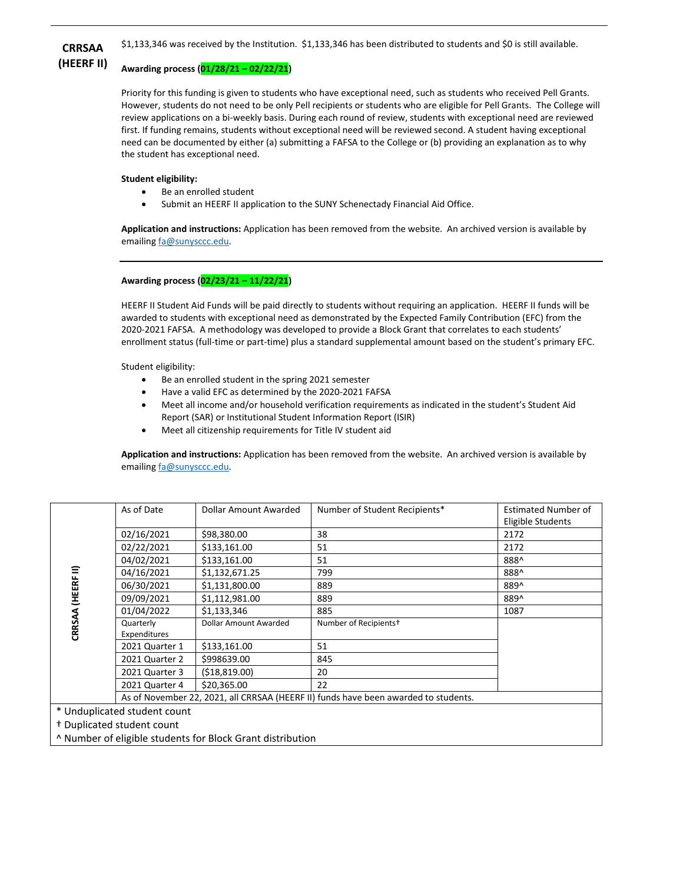

# **(HEERF II) Awarding process (01/28/21 – 02/22/21)**

 need can be documented by either (a) submitting a FAFSA to the College or (b) providing an explanation as to why Priority for this funding is given to students who have exceptional need, such as students who received Pell Grants. However, students do not need to be only Pell recipients or students who are eligible for Pell Grants. The College will review applications on a bi-weekly basis. During each round of review, students with exceptional need are reviewed first. If funding remains, students without exceptional need will be reviewed second. A student having exceptional the student has exceptional need.

### **Student eligibility:**

- Be an enrolled student
- Submit an HEERF II application to the SUNY Schenectady Financial Aid Office.

**Application and instructions:** Application has been removed from the website. An archived version is available by emailing fa@sunysccc.edu.

## **Awarding process (02/23/21 – 11/22/21)**

 HEERF II Student Aid Funds will be paid directly to students without requiring an application. HEERF II funds will be awarded to students with exceptional need as demonstrated by the Expected Family Contribution (EFC) from the 2020-2021 FAFSA. A methodology was developed to provide a Block Grant that correlates to each students' enrollment status (full-time or part-time) plus a standard supplemental amount based on the student's primary EFC.

Student eligibility:

- Be an enrolled student in the spring 2021 semester
- Have a valid EFC as determined by the 2020-2021 FAFSA
- Meet all income and/or household verification requirements as indicated in the student's Student Aid Report (SAR) or Institutional Student Information Report (ISIR)
- Meet all citizenship requirements for Title IV student aid

**Application and instructions:** Application has been removed from the website. An archived version is available by emailing fa@sunysccc.edu.

| ≘<br>(HEERF)<br>CRRSAA                | As of Date                                                                          | Dollar Amount Awarded | Number of Student Recipients*     | <b>Estimated Number of</b> |  |  |
|---------------------------------------|-------------------------------------------------------------------------------------|-----------------------|-----------------------------------|----------------------------|--|--|
|                                       |                                                                                     |                       |                                   | Eligible Students          |  |  |
|                                       | 02/16/2021                                                                          | \$98,380.00           | 38                                | 2172                       |  |  |
|                                       | 02/22/2021                                                                          | \$133,161.00          | 51                                | 2172                       |  |  |
|                                       | 04/02/2021                                                                          | \$133,161.00          | 51                                | 888^                       |  |  |
|                                       | 04/16/2021                                                                          | \$1,132,671.25        | 799                               | 888^                       |  |  |
|                                       | 06/30/2021                                                                          | \$1,131,800.00        | 889                               | 889^                       |  |  |
|                                       | 09/09/2021                                                                          | \$1,112,981.00        | 889                               | 889^                       |  |  |
|                                       | 01/04/2022                                                                          | \$1,133,346           | 885                               | 1087                       |  |  |
|                                       | Quarterly<br>Expenditures                                                           | Dollar Amount Awarded | Number of Recipients <sup>+</sup> |                            |  |  |
|                                       | 2021 Quarter 1                                                                      | \$133,161.00          | 51                                |                            |  |  |
|                                       | 2021 Quarter 2                                                                      | \$998639.00           | 845                               |                            |  |  |
|                                       | 2021 Quarter 3                                                                      | (518, 819.00)         | 20                                |                            |  |  |
|                                       | 2021 Quarter 4                                                                      | \$20,365.00           | 22                                |                            |  |  |
|                                       | As of November 22, 2021, all CRRSAA (HEERF II) funds have been awarded to students. |                       |                                   |                            |  |  |
| * Unduplicated student count          |                                                                                     |                       |                                   |                            |  |  |
| <sup>†</sup> Duplicated student count |                                                                                     |                       |                                   |                            |  |  |

^ Number of eligible students for Block Grant distribution